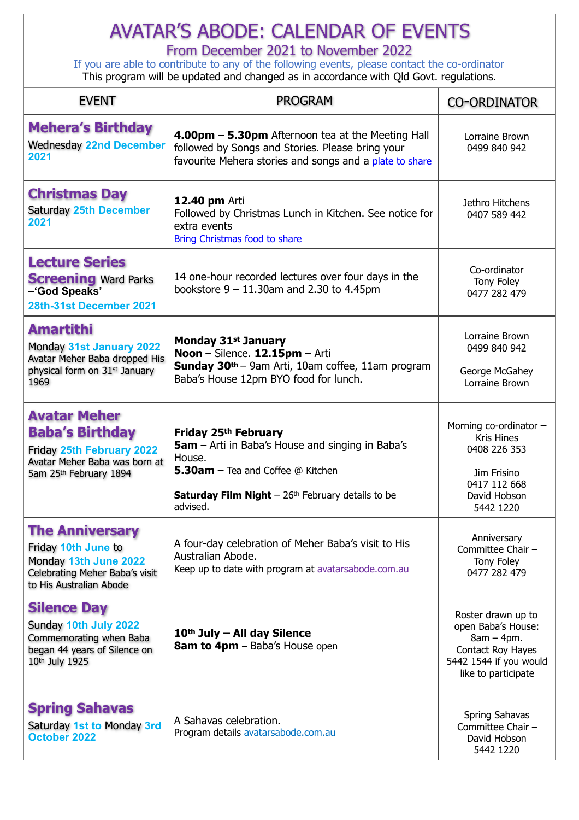## AVATAR'S ABODE: CALENDAR OF EVENTS

From December 2021 to November 2022

If you are able to contribute to any of the following events, please contact the co-ordinator This program will be updated and changed as in accordance with Qld Govt. regulations.

| <b>EVENT</b>                                                                                                                          | <b>PROGRAM</b>                                                                                                                                                                                                      | <b>CO-ORDINATOR</b>                                                                                                            |
|---------------------------------------------------------------------------------------------------------------------------------------|---------------------------------------------------------------------------------------------------------------------------------------------------------------------------------------------------------------------|--------------------------------------------------------------------------------------------------------------------------------|
| <b>Mehera's Birthday</b><br><b>Wednesday 22nd December</b><br>2021                                                                    | 4.00pm - 5.30pm Afternoon tea at the Meeting Hall<br>followed by Songs and Stories. Please bring your<br>favourite Mehera stories and songs and a plate to share                                                    | Lorraine Brown<br>0499 840 942                                                                                                 |
| <b>Christmas Day</b><br><b>Saturday 25th December</b><br>2021                                                                         | <b>12.40 pm Arti</b><br>Followed by Christmas Lunch in Kitchen. See notice for<br>extra events<br>Bring Christmas food to share                                                                                     | Jethro Hitchens<br>0407 589 442                                                                                                |
| <b>Lecture Series</b><br><b>Screening Ward Parks</b><br>-'God Speaks'<br>28th-31st December 2021                                      | 14 one-hour recorded lectures over four days in the<br>bookstore $9 - 11.30$ am and 2.30 to 4.45pm                                                                                                                  | Co-ordinator<br>Tony Foley<br>0477 282 479                                                                                     |
| <b>Amartithi</b><br>Monday 31st January 2022<br>Avatar Meher Baba dropped His<br>physical form on 31 <sup>st</sup> January<br>1969    | <b>Monday 31st January</b><br>Noon - Silence. 12.15pm - Arti<br>Sunday 30th - 9am Arti, 10am coffee, 11am program<br>Baba's House 12pm BYO food for lunch.                                                          | Lorraine Brown<br>0499 840 942<br>George McGahey<br>Lorraine Brown                                                             |
| <b>Avatar Meher</b><br><b>Baba's Birthday</b><br>Friday 25th February 2022<br>Avatar Meher Baba was born at<br>5am 25th February 1894 | Friday 25th February<br><b>5am</b> – Arti in Baba's House and singing in Baba's<br>House.<br>5.30am - Tea and Coffee @ Kitchen<br><b>Saturday Film Night</b> $-26$ <sup>th</sup> February details to be<br>advised. | Morning co-ordinator -<br><b>Kris Hines</b><br>0408 226 353<br>Jim Frisino<br>0417 112 668<br>David Hobson<br>5442 1220        |
| <b>The Anniversary</b><br>Friday 10th June to<br>Monday 13th June 2022<br>Celebrating Meher Baba's visit<br>to His Australian Abode   | A four-day celebration of Meher Baba's visit to His<br>Australian Abode.<br>Keep up to date with program at avatarsabode.com.au                                                                                     | Anniversary<br>Committee Chair -<br>Tony Foley<br>0477 282 479                                                                 |
| <b>Silence Day</b><br>Sunday 10th July 2022<br>Commemorating when Baba<br>began 44 years of Silence on<br>10th July 1925              | $10th$ July – All day Silence<br><b>8am to 4pm</b> - Baba's House open                                                                                                                                              | Roster drawn up to<br>open Baba's House:<br>$8am - 4pm.$<br>Contact Roy Hayes<br>5442 1544 if you would<br>like to participate |
| <b>Spring Sahavas</b><br>Saturday 1st to Monday 3rd<br><b>October 2022</b>                                                            | A Sahavas celebration.<br>Program details avatarsabode.com.au                                                                                                                                                       | Spring Sahavas<br>Committee Chair -<br>David Hobson<br>5442 1220                                                               |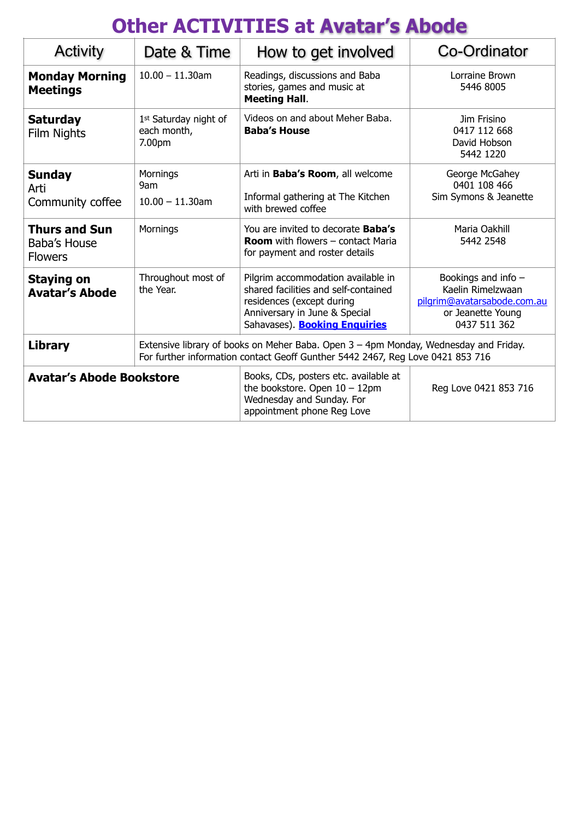## **Other ACTIVITIES at Avatar's Abode**

| <b>Activity</b>                                        | Date & Time                                    | How to get involved                                                                                                                                                              | Co-Ordinator                                                                                                 |  |
|--------------------------------------------------------|------------------------------------------------|----------------------------------------------------------------------------------------------------------------------------------------------------------------------------------|--------------------------------------------------------------------------------------------------------------|--|
| <b>Monday Morning</b><br><b>Meetings</b>               | $10.00 - 11.30$ am                             | Readings, discussions and Baba<br>stories, games and music at<br><b>Meeting Hall.</b>                                                                                            | Lorraine Brown<br>5446 8005                                                                                  |  |
| <b>Saturday</b><br>Film Nights                         | 1st Saturday night of<br>each month,<br>7.00pm | Videos on and about Meher Baba.<br><b>Baba's House</b>                                                                                                                           | Jim Frisino<br>0417 112 668<br>David Hobson<br>5442 1220                                                     |  |
| <b>Sunday</b><br>Arti<br>Community coffee              | Mornings<br>9am<br>$10.00 - 11.30$ am          | Arti in Baba's Room, all welcome<br>Informal gathering at The Kitchen<br>with brewed coffee                                                                                      | George McGahey<br>0401 108 466<br>Sim Symons & Jeanette                                                      |  |
| <b>Thurs and Sun</b><br>Baba's House<br><b>Flowers</b> | Mornings                                       | You are invited to decorate <b>Baba's</b><br><b>Room</b> with flowers $-$ contact Maria<br>for payment and roster details                                                        | Maria Oakhill<br>5442 2548                                                                                   |  |
| <b>Staying on</b><br><b>Avatar's Abode</b>             | Throughout most of<br>the Year.                | Pilgrim accommodation available in<br>shared facilities and self-contained<br>residences (except during<br>Anniversary in June & Special<br>Sahavases). <b>Booking Enquiries</b> | Bookings and info -<br>Kaelin Rimelzwaan<br>pilgrim@avatarsabode.com.au<br>or Jeanette Young<br>0437 511 362 |  |
| <b>Library</b>                                         |                                                | Extensive library of books on Meher Baba. Open 3 – 4pm Monday, Wednesday and Friday.<br>For further information contact Geoff Gunther 5442 2467, Reg Love 0421 853 716           |                                                                                                              |  |
| <b>Avatar's Abode Bookstore</b>                        |                                                | Books, CDs, posters etc. available at<br>the bookstore. Open $10 - 12$ pm<br>Wednesday and Sunday. For<br>appointment phone Reg Love                                             | Reg Love 0421 853 716                                                                                        |  |